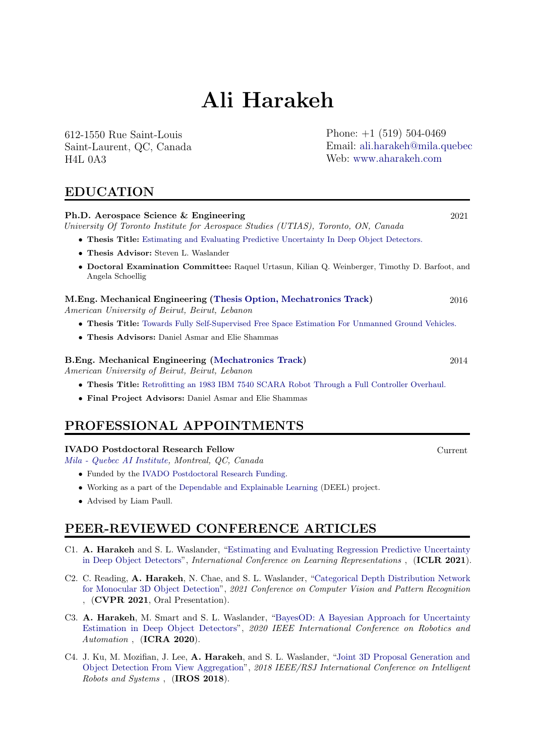# Ali Harakeh

612-1550 Rue Saint-Louis Saint-Laurent, QC, Canada H4L 0A3

Phone:  $+1$  (519) 504-0469 Email: [ali.harakeh@mila.quebec](mailto:ali.harakeh@utoronto.ca) Web: [www.aharakeh.com](https://www.aharakeh.com/)

# EDUCATION

# Ph.D. Aerospace Science & Engineering 2021 University Of Toronto Institute for Aerospace Studies (UTIAS), Toronto, ON, Canada • Thesis Title: [Estimating and Evaluating Predictive Uncertainty In Deep Object Detectors.](https://3382fdd8-02bd-4a71-8cb3-a958d3df97c9.filesusr.com/ugd/cde913_c2b4a8ecf18b4722a527bc03d1980f17.pdf) • Thesis Advisor: Steven L. Waslander • Doctoral Examination Committee: Raquel Urtasun, Kilian Q. Weinberger, Timothy D. Barfoot, and Angela Schoellig M.Eng. Mechanical Engineering [\(Thesis Option, Mechatronics Track\)](https://www.aub.edu.lb/msfea/me/MECH-ME/Pages/default.aspx) 2016 American University of Beirut, Beirut, Lebanon • Thesis Title: [Towards Fully Self-Supervised Free Space Estimation For Unmanned Ground Vehicles.](https://scholarworks.aub.edu.lb/bitstream/handle/10938/10973/et-6385.pdf?sequence=1) • Thesis Advisors: Daniel Asmar and Elie Shammas B.Eng. Mechanical Engineering [\(Mechatronics Track\)](https://www.aub.edu.lb/msfea/me/MECH-BE/Pages/default.aspx) 2014 American University of Beirut, Beirut, Lebanon • Thesis Title: [Retrofitting an 1983 IBM 7540 SCARA Robot Through a Full Controller Overhaul.](https://sites.google.com/site/ibm7540scararobot/contact-info) • Final Project Advisors: Daniel Asmar and Elie Shammas PROFESSIONAL APPOINTMENTS

#### IVADO Postdoctoral Research Fellow Current

[Mila - Quebec AI Institute,](https://mila.quebec/en/) Montreal, QC, Canada

- Funded by the [IVADO Postdoctoral Research Funding.](https://ivado.ca/en/scholarships-and-grants/postdoctoral-research-funding/)
- Working as a part of the [Dependable and Explainable Learning](https://www.deel.ai/about-us/) (DEEL) project.
- Advised by Liam Paull.

# PEER-REVIEWED CONFERENCE ARTICLES

- C1. A. Harakeh and S. L. Waslander, ["Estimating and Evaluating Regression Predictive Uncertainty](https://openreview.net/forum?id=YLewtnvKgR7) [in Deep Object Detectors"](https://openreview.net/forum?id=YLewtnvKgR7), International Conference on Learning Representations, (ICLR 2021).
- C2. C. Reading, A. Harakeh, N. Chae, and S. L. Waslander, ["Categorical Depth Distribution Network](https://arxiv.org/abs/2103.01100) [for Monocular 3D Object Detection"](https://arxiv.org/abs/2103.01100), 2021 Conference on Computer Vision and Pattern Recognition , (CVPR 2021, Oral Presentation).
- C3. A. Harakeh, M. Smart and S. L. Waslander, ["BayesOD: A Bayesian Approach for Uncertainty](https://arxiv.org/pdf/1903.03838.pdf) [Estimation in Deep Object Detectors"](https://arxiv.org/pdf/1903.03838.pdf), 2020 IEEE International Conference on Robotics and Automation, (ICRA 2020).
- C4. J. Ku, M. Mozifian, J. Lee, A. Harakeh, and S. L. Waslander, ["Joint 3D Proposal Generation and](https://arxiv.org/pdf/1712.02294.pdf) [Object Detection From View Aggregation"](https://arxiv.org/pdf/1712.02294.pdf), 2018 IEEE/RSJ International Conference on Intelligent Robots and Systems , (IROS 2018).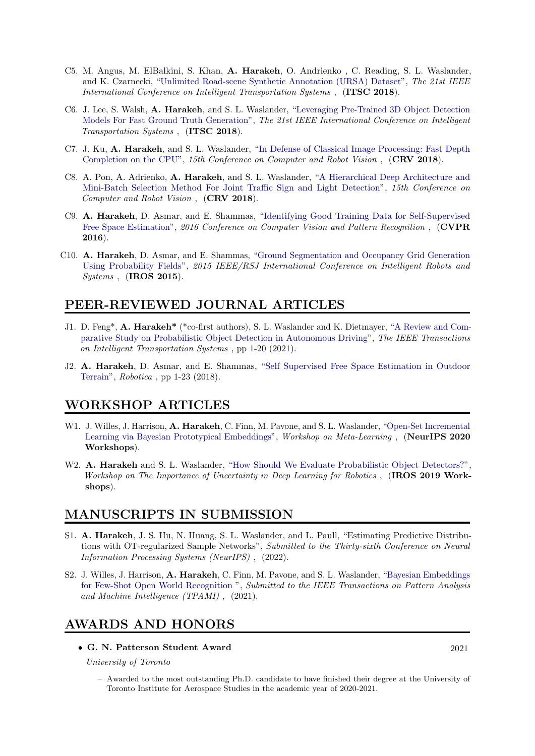- C5. M. Angus, M. ElBalkini, S. Khan, A. Harakeh, O. Andrienko , C. Reading, S. L. Waslander, and K. Czarnecki, ["Unlimited Road-scene Synthetic Annotation \(URSA\) Dataset"](https://arxiv.org/pdf/1807.06056.pdf), The 21st IEEE International Conference on Intelligent Transportation Systems, (ITSC 2018).
- C6. J. Lee, S. Walsh, A. Harakeh, and S. L. Waslander, ["Leveraging Pre-Trained 3D Object Detection](https://arxiv.org/pdf/1807.06072.pdf) [Models For Fast Ground Truth Generation"](https://arxiv.org/pdf/1807.06072.pdf), The 21st IEEE International Conference on Intelligent Transportation Systems , (ITSC 2018).
- C7. J. Ku, A. Harakeh, and S. L. Waslander, ["In Defense of Classical Image Processing: Fast Depth](https://arxiv.org/pdf/1802.00036.pdf) [Completion on the CPU"](https://arxiv.org/pdf/1802.00036.pdf), 15th Conference on Computer and Robot Vision, (CRV 2018).
- C8. A. Pon, A. Adrienko, A. Harakeh, and S. L. Waslander, ["A Hierarchical Deep Architecture and](https://arxiv.org/pdf/1806.07987.pdf) [Mini-Batch Selection Method For Joint Traffic Sign and Light Detection"](https://arxiv.org/pdf/1806.07987.pdf), 15th Conference on Computer and Robot Vision , (CRV 2018).
- C9. A. Harakeh, D. Asmar, and E. Shammas, ["Identifying Good Training Data for Self-Supervised](https://www.cv-foundation.org/openaccess/content_cvpr_2016/papers/Harakeh_Identifying_Good_Training_CVPR_2016_paper.pdf) [Free Space Estimation"](https://www.cv-foundation.org/openaccess/content_cvpr_2016/papers/Harakeh_Identifying_Good_Training_CVPR_2016_paper.pdf), 2016 Conference on Computer Vision and Pattern Recognition, (CVPR 2016).
- C10. A. Harakeh, D. Asmar, and E. Shammas, ["Ground Segmentation and Occupancy Grid Generation](https://docs.wixstatic.com/ugd/cde913_8834a95f3a9549688efe48f8bd670879.pdf) [Using Probability Fields"](https://docs.wixstatic.com/ugd/cde913_8834a95f3a9549688efe48f8bd670879.pdf), 2015 IEEE/RSJ International Conference on Intelligent Robots and  $Systems$ ,  $(IROS 2015)$ .

# PEER-REVIEWED JOURNAL ARTICLES

- J1. D. Feng\*, A. Harakeh\* (\*co-first authors), S. L. Waslander and K. Dietmayer, ["A Review and Com](https://ieeexplore.ieee.org/abstract/document/9525313?casa_token=NS1awxchduEAAAAA:HnOLKzbgUFbbTpyOl0yh670GJwrYjQbqkFg0jfxL5GlhXyUiZixF4tzBAh6gxh0mu59JfJL5)[parative Study on Probabilistic Object Detection in Autonomous Driving"](https://ieeexplore.ieee.org/abstract/document/9525313?casa_token=NS1awxchduEAAAAA:HnOLKzbgUFbbTpyOl0yh670GJwrYjQbqkFg0jfxL5GlhXyUiZixF4tzBAh6gxh0mu59JfJL5), The IEEE Transactions on Intelligent Transportation Systems , pp 1-20 (2021).
- J2. A. Harakeh, D. Asmar, and E. Shammas, ["Self Supervised Free Space Estimation in Outdoor](https://www.cambridge.org/core/journals/robotica/article/selfsupervised-free-space-estimation-in-outdoor-terrain/2BBB34897E3D940EEEAFA39E1BECF0B9) [Terrain"](https://www.cambridge.org/core/journals/robotica/article/selfsupervised-free-space-estimation-in-outdoor-terrain/2BBB34897E3D940EEEAFA39E1BECF0B9), Robotica , pp 1-23 (2018).

# WORKSHOP ARTICLES

- W1. J. Willes, J. Harrison, A. Harakeh, C. Finn, M. Pavone, and S. L. Waslander, ["Open-Set Incremental](https://meta-learn.github.io/2020/papers/40_paper.pdf) [Learning via Bayesian Prototypical Embeddings"](https://meta-learn.github.io/2020/papers/40_paper.pdf), Workshop on Meta-Learning , (NeurIPS 2020 Workshops).
- W2. A. Harakeh and S. L. Waslander, ["How Should We Evaluate Probabilistic Object Detectors?"](https://nikosuenderhauf.github.io/roboticvisionchallenges/assets/papers/IROS19/harakeh.pdf), Workshop on The Importance of Uncertainty in Deep Learning for Robotics, (IROS 2019 Workshops).

# MANUSCRIPTS IN SUBMISSION

- S1. A. Harakeh, J. S. Hu, N. Huang, S. L. Waslander, and L. Paull, "Estimating Predictive Distributions with OT-regularized Sample Networks", Submitted to the Thirty-sixth Conference on Neural Information Processing Systems (NeurIPS) , (2022).
- S2. J. Willes, J. Harrison, A. Harakeh, C. Finn, M. Pavone, and S. L. Waslander, ["Bayesian Embeddings](https://arxiv.org/abs/2107.13682) [for Few-Shot Open World Recognition](https://arxiv.org/abs/2107.13682) ", Submitted to the IEEE Transactions on Pattern Analysis and Machine Intelligence (TPAMI) , (2021).

# AWARDS AND HONORS

• G. N. Patterson Student Award 2021

University of Toronto

– Awarded to the most outstanding Ph.D. candidate to have finished their degree at the University of Toronto Institute for Aerospace Studies in the academic year of 2020-2021.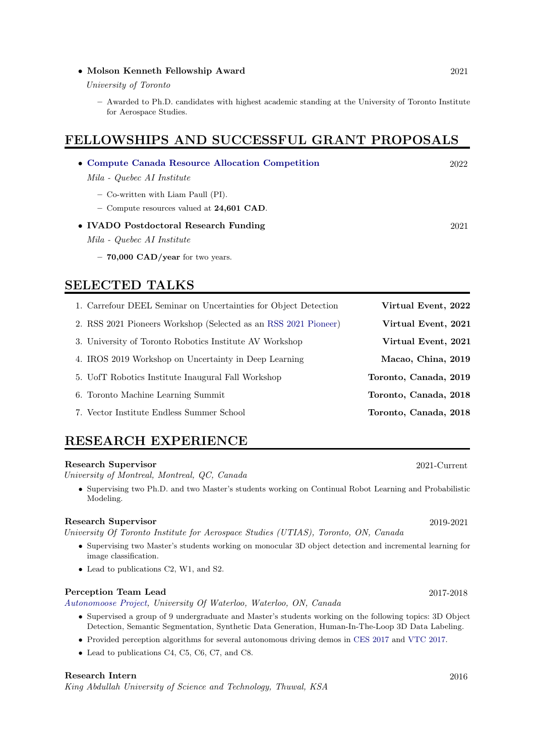#### • Molson Kenneth Fellowship Award 2021

University of Toronto

– Awarded to Ph.D. candidates with highest academic standing at the University of Toronto Institute for Aerospace Studies.

# FELLOWSHIPS AND SUCCESSFUL GRANT PROPOSALS

| • Compute Canada Resource Allocation Competition | 2022 |
|--------------------------------------------------|------|
| Mila - Quebec AI Institute                       |      |
| - Co-written with Liam Paull (PI).               |      |
| - Compute resources valued at $24,601$ CAD.      |      |
| • IVADO Postdoctoral Research Funding            | 2021 |
| Mila - Quebec AI Institute                       |      |
| $-70,000 \text{ CAD/year}$ for two years.        |      |
|                                                  |      |

# SELECTED TALKS

| 1. Carrefour DEEL Seminar on Uncertainties for Object Detection | Virtual Event, 2022   |
|-----------------------------------------------------------------|-----------------------|
| 2. RSS 2021 Pioneers Workshop (Selected as an RSS 2021 Pioneer) | Virtual Event, 2021   |
| 3. University of Toronto Robotics Institute AV Workshop         | Virtual Event, 2021   |
| 4. IROS 2019 Workshop on Uncertainty in Deep Learning           | Macao, China, 2019    |
| 5. U of T Robotics Institute Inaugural Fall Workshop            | Toronto, Canada, 2019 |
| 6. Toronto Machine Learning Summit                              | Toronto, Canada, 2018 |
| 7. Vector Institute Endless Summer School                       | Toronto, Canada, 2018 |

# RESEARCH EXPERIENCE

#### Research Supervisor 2021-Current

University of Montreal, Montreal, QC, Canada

• Supervising two Ph.D. and two Master's students working on Continual Robot Learning and Probabilistic Modeling.

#### Research Supervisor 2019-2021

University Of Toronto Institute for Aerospace Studies (UTIAS), Toronto, ON, Canada

- Supervising two Master's students working on monocular 3D object detection and incremental learning for image classification.
- Lead to publications C2, W1, and S2.

#### Perception Team Lead 2017-2018

[Autonomoose Project,](https://www.autonomoose.net/) University Of Waterloo, Waterloo, ON, Canada

- Supervised a group of 9 undergraduate and Master's students working on the following topics: 3D Object Detection, Semantic Segmentation, Synthetic Data Generation, Human-In-The-Loop 3D Data Labeling.
- Provided perception algorithms for several autonomous driving demos in [CES 2017](https://www.ces.tech/) and [VTC 2017.](http://www.ieeevtc.org/vtc2017fall/)
- Lead to publications C4, C5, C6, C7, and C8.

#### Research Intern 2016

King Abdullah University of Science and Technology, Thuwal, KSA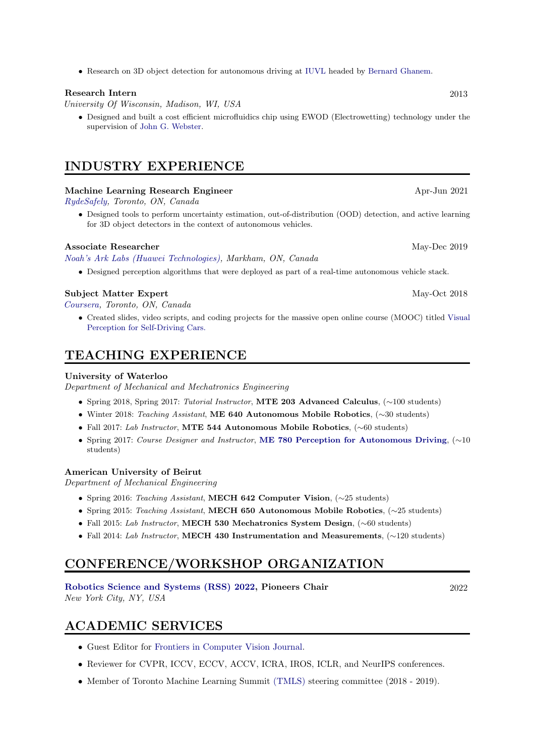• Research on 3D object detection for autonomous driving at [IUVL](https://ivul.kaust.edu.sa/Pages/Home.aspx) headed by [Bernard Ghanem.](http://www.bernardghanem.com/)

### Research Intern 2013

University Of Wisconsin, Madison, WI, USA

• Designed and built a cost efficient microfluidics chip using EWOD (Electrowetting) technology under the supervision of [John G. Webster.](https://directory.engr.wisc.edu/display.php/faculty/webster_john?page=bme&search=faculty&item=webster_john)

# INDUSTRY EXPERIENCE

#### Machine Learning Research Engineer Apr-Jun 2021

[RydeSafely,](https://www.rydesafely.com/) Toronto, ON, Canada

• Designed tools to perform uncertainty estimation, out-of-distribution (OOD) detection, and active learning for 3D object detectors in the context of autonomous vehicles.

#### Associate Researcher May-Dec 2019

#### [Noah's Ark Labs \(Huawei Technologies\),](http://www.noahlab.com.hk) Markham, ON, Canada

• Designed perception algorithms that were deployed as part of a real-time autonomous vehicle stack.

#### Subject Matter Expert May-Oct 2018

[Coursera,](https://www.coursera.org/) Toronto, ON, Canada

• Created slides, video scripts, and coding projects for the massive open online course (MOOC) titled [Visual](https://www.coursera.org/learn/visual-perception-self-driving-cars) [Perception for Self-Driving Cars.](https://www.coursera.org/learn/visual-perception-self-driving-cars)

# TEACHING EXPERIENCE

#### University of Waterloo

Department of Mechanical and Mechatronics Engineering

- Spring 2018, Spring 2017: Tutorial Instructor, MTE 203 Advanced Calculus, (∼100 students)
- Winter 2018: Teaching Assistant, ME 640 Autonomous Mobile Robotics, (∼30 students)
- Fall 2017: Lab Instructor, MTE 544 Autonomous Mobile Robotics, (∼60 students)
- Spring 2017: Course Designer and Instructor, [ME 780 Perception for Autonomous Driving](http://wavelab.uwaterloo.ca/indexaef8.html?page_id=481), (∼10 students)

#### American University of Beirut

Department of Mechanical Engineering

- Spring 2016: Teaching Assistant, MECH 642 Computer Vision, (∼25 students)
- Spring 2015: Teaching Assistant, MECH 650 Autonomous Mobile Robotics, (∼25 students)
- Fall 2015: Lab Instructor, MECH 530 Mechatronics System Design, (∼60 students)
- Fall 2014: Lab Instructor, MECH 430 Instrumentation and Measurements, (∼120 students)

# CONFERENCE/WORKSHOP ORGANIZATION

[Robotics Science and Systems \(RSS\) 2022,](https://roboticsconference.org/committees/organizers/) Pioneers Chair 2022 New York City, NY, USA

# ACADEMIC SERVICES

- Guest Editor for [Frontiers in Computer Vision Journal.](https://www.frontiersin.org/research-topics/35632/making-visual-slam-useful-for-real-world-applications)
- Reviewer for CVPR, ICCV, ECCV, ACCV, ICRA, IROS, ICLR, and NeurIPS conferences.
- Member of Toronto Machine Learning Summit [\(TMLS\)](https://torontomachinelearning.com/about-us/#our-team) steering committee (2018 2019).